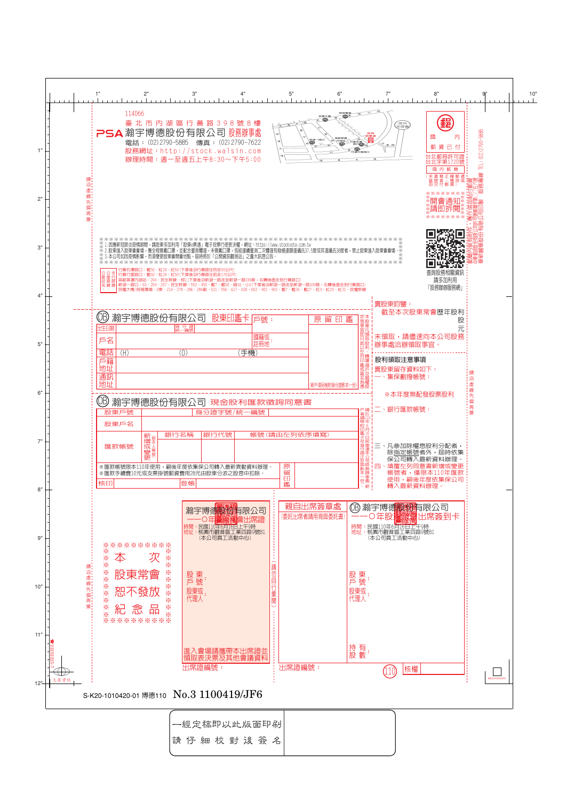